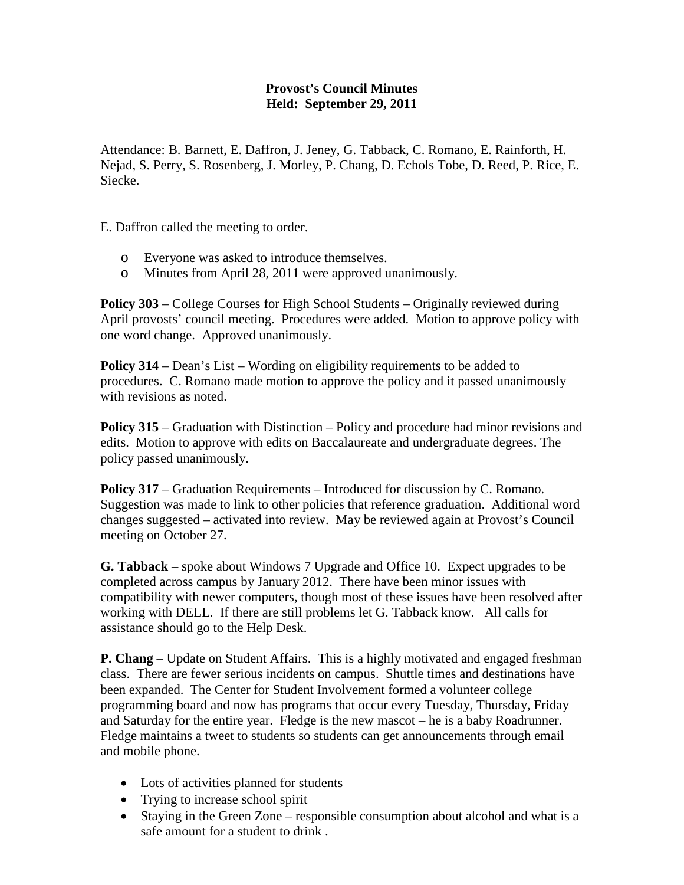## **Provost's Council Minutes Held: September 29, 2011**

Attendance: B. Barnett, E. Daffron, J. Jeney, G. Tabback, C. Romano, E. Rainforth, H. Nejad, S. Perry, S. Rosenberg, J. Morley, P. Chang, D. Echols Tobe, D. Reed, P. Rice, E. Siecke.

E. Daffron called the meeting to order.

- o Everyone was asked to introduce themselves.
- o Minutes from April 28, 2011 were approved unanimously.

**Policy 303** – College Courses for High School Students – Originally reviewed during April provosts' council meeting. Procedures were added. Motion to approve policy with one word change. Approved unanimously.

**Policy 314** – Dean's List – Wording on eligibility requirements to be added to procedures. C. Romano made motion to approve the policy and it passed unanimously with revisions as noted.

**Policy 315** – Graduation with Distinction – Policy and procedure had minor revisions and edits. Motion to approve with edits on Baccalaureate and undergraduate degrees. The policy passed unanimously.

**Policy 317** – Graduation Requirements – Introduced for discussion by C. Romano. Suggestion was made to link to other policies that reference graduation. Additional word changes suggested – activated into review. May be reviewed again at Provost's Council meeting on October 27.

**G. Tabback** – spoke about Windows 7 Upgrade and Office 10. Expect upgrades to be completed across campus by January 2012. There have been minor issues with compatibility with newer computers, though most of these issues have been resolved after working with DELL. If there are still problems let G. Tabback know. All calls for assistance should go to the Help Desk.

**P. Chang** – Update on Student Affairs. This is a highly motivated and engaged freshman class. There are fewer serious incidents on campus. Shuttle times and destinations have been expanded. The Center for Student Involvement formed a volunteer college programming board and now has programs that occur every Tuesday, Thursday, Friday and Saturday for the entire year. Fledge is the new mascot – he is a baby Roadrunner. Fledge maintains a tweet to students so students can get announcements through email and mobile phone.

- Lots of activities planned for students
- Trying to increase school spirit
- Staying in the Green Zone responsible consumption about alcohol and what is a safe amount for a student to drink .